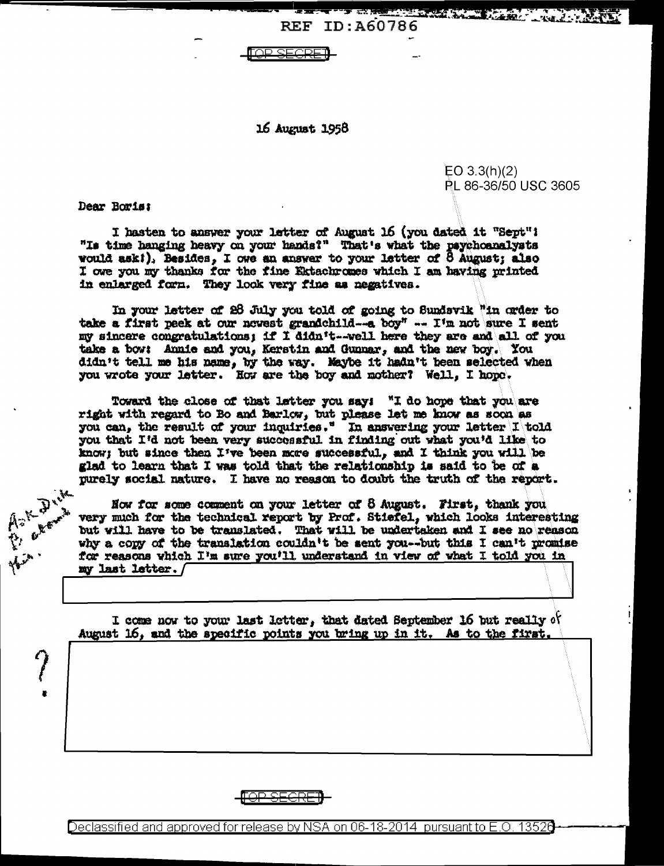REF ID:A60786

TOP SEGRE

16 August 1958

 $EO 3.3(h)(2)$ PL 86-36/50 USC 3605

Dear Boris:

**Heimer Comments** 

I hasten to answer your letter of August 16 (you dated it "Sept"! "Is time hanging heavy on your hands?" That's what the psychoanalysts would ask!), Besides, I owe an answer to your letter of  $\delta$  August: also I owe you my thanks for the fine Ektachromes which I am having printed in enlarged form. They look very fine as negatives.

In your letter of 28 July you told of going to Sundavik "in order to take a first peek at our newest grandchild--a boy" -- I'm not sure I sent my sincere congratulations; if I didn't--well here they are and all of you take a bow: Annie and you, Kerstin and Gunnar, and the new boy. You didn't tell me his name, by the way. Maybe it hadn't been selected when you wrote your letter. How are the boy and mother? Well, I hope.

Toward the close of that letter you say: "I do hope that you are right with regard to Bo and Barlow, but please let me know as soon as you can, the result of your inquiries." In answering your letter I told you that I'd not been very successful in finding out what you'd like to know; but since then I've been more successful, and I think you will be glad to learn that I was told that the relationship is said to be of a purely social nature. I have no reason to doubt the truth of the report.

Now for some comment on your letter of 8 August. First, thank you very much for the technical report by Prof. Stiefel, which looks interesting but will have to be translated. That will be undertaken and I see no reason why a copy of the translation couldn't be sent you--but this I can't promise for reasons which I'm sure you'll understand in view of what I told you in my last letter./

I come now to your last letter, that dated September 16 but really of August 16, and the specific points you bring up in it. As to the first.

Declassified and approved for release by NSA on 06-18-2014 pursuant to E.O. 13526